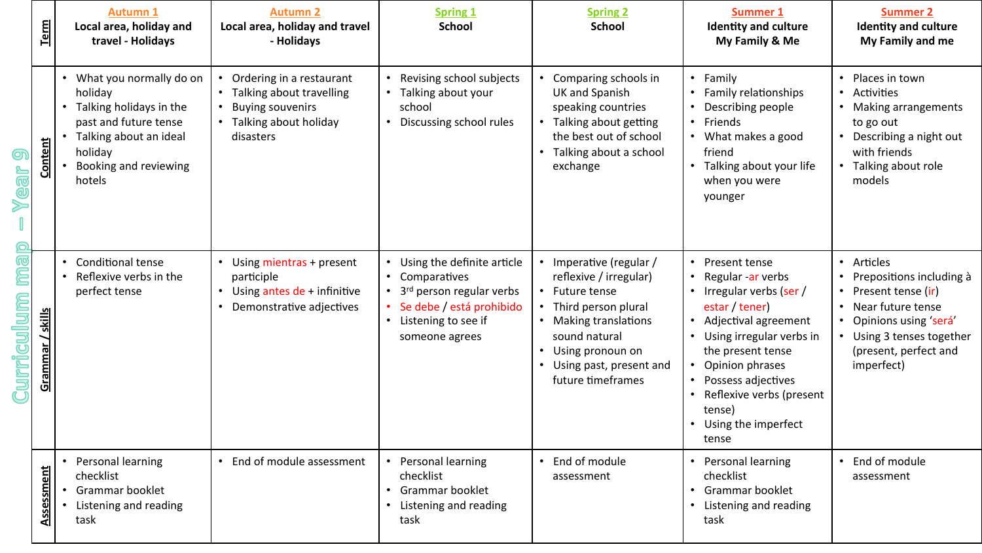|                    | <b>Term</b>      | Autumn 1<br>Local area, holiday and<br>travel - Holidays                                                                                                       | <b>Autumn 2</b><br>Local area, holiday and travel<br>- Holidays                                                       | <b>Spring 1</b><br><b>School</b>                                                                                                                          | <b>Spring 2</b><br><b>School</b>                                                                                                                                                                            | <b>Summer 1</b><br><b>Identity and culture</b><br>My Family & Me                                                                                                                                                                                                                                | <b>Summer 2</b><br><b>Identity and culture</b><br>My Family and me                                                                                                             |
|--------------------|------------------|----------------------------------------------------------------------------------------------------------------------------------------------------------------|-----------------------------------------------------------------------------------------------------------------------|-----------------------------------------------------------------------------------------------------------------------------------------------------------|-------------------------------------------------------------------------------------------------------------------------------------------------------------------------------------------------------------|-------------------------------------------------------------------------------------------------------------------------------------------------------------------------------------------------------------------------------------------------------------------------------------------------|--------------------------------------------------------------------------------------------------------------------------------------------------------------------------------|
| Yea<br>Bull<br>Cup | Content          | What you normally do on<br>holiday<br>Talking holidays in the<br>past and future tense<br>Talking about an ideal<br>holiday<br>Booking and reviewing<br>hotels | Ordering in a restaurant<br>Talking about travelling<br><b>Buying souvenirs</b><br>Talking about holiday<br>disasters | Revising school subjects<br>Talking about your<br>school<br>Discussing school rules                                                                       | Comparing schools in<br><b>UK and Spanish</b><br>speaking countries<br>Talking about getting<br>the best out of school<br>• Talking about a school<br>exchange                                              | • Family<br>• Family relationships<br>• Describing people<br>• Friends<br>• What makes a good<br>friend<br>Talking about your life<br>when you were<br>younger                                                                                                                                  | Places in town<br>Activities<br>$\bullet$<br>Making arrangements<br>to go out<br>Describing a night out<br>with friends<br>Talking about role<br>models                        |
|                    | Grammar / skills | Conditional tense<br>$\bullet$<br>Reflexive verbs in the<br>perfect tense                                                                                      | Using mientras + present<br>participle<br>Using antes de + infinitive<br>Demonstrative adjectives                     | Using the definite article<br>Comparatives<br>3 <sup>rd</sup> person regular verbs<br>Se debe / está prohibido<br>• Listening to see if<br>someone agrees | Imperative (regular /<br>reflexive / irregular)<br>Future tense<br>• Third person plural<br><b>Making translations</b><br>sound natural<br>Using pronoun on<br>Using past, present and<br>future timeframes | • Present tense<br>• Regular -ar verbs<br>• Irregular verbs (ser /<br>estar / tener)<br>Adjectival agreement<br>$\bullet$<br>• Using irregular verbs in<br>the present tense<br>Opinion phrases<br>• Possess adjectives<br>Reflexive verbs (present<br>tense)<br>• Using the imperfect<br>tense | • Articles<br>Prepositions including à<br>Present tense (ir)<br>Near future tense<br>Opinions using 'será'<br>• Using 3 tenses together<br>(present, perfect and<br>imperfect) |
|                    | Assessment       | Personal learning<br>checklist<br>Grammar booklet<br>Listening and reading<br>task                                                                             | End of module assessment                                                                                              | • Personal learning<br>checklist<br>• Grammar booklet<br>• Listening and reading<br>task                                                                  | End of module<br>assessment                                                                                                                                                                                 | • Personal learning<br>checklist<br>• Grammar booklet<br>• Listening and reading<br>task                                                                                                                                                                                                        | End of module<br>assessment                                                                                                                                                    |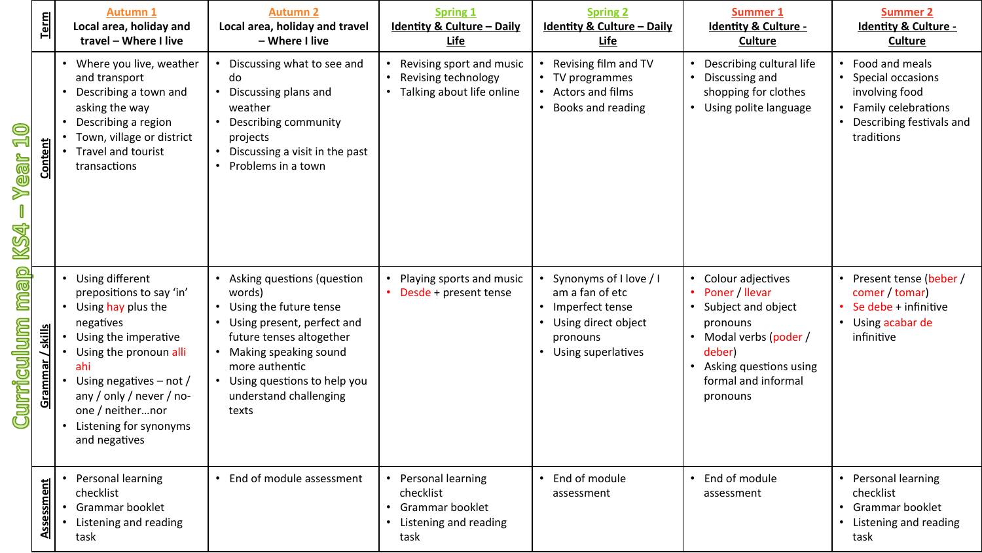|                                      | Term            | <b>Autumn 1</b><br>Local area, holiday and<br>travel - Where I live                                                                                                                                                                                                 | <b>Autumn 2</b><br>Local area, holiday and travel<br>- Where I live                                                                                                                                                                   | <b>Spring 1</b><br><b>Identity &amp; Culture - Daily</b><br><b>Life</b>                  | <b>Spring 2</b><br><b>Identity &amp; Culture - Daily</b><br>Life                                                          | Summer 1<br><b>Identity &amp; Culture -</b><br><b>Culture</b>                                                                                                                           | <b>Summer 2</b><br><b>Identity &amp; Culture -</b><br><b>Culture</b>                                                           |
|--------------------------------------|-----------------|---------------------------------------------------------------------------------------------------------------------------------------------------------------------------------------------------------------------------------------------------------------------|---------------------------------------------------------------------------------------------------------------------------------------------------------------------------------------------------------------------------------------|------------------------------------------------------------------------------------------|---------------------------------------------------------------------------------------------------------------------------|-----------------------------------------------------------------------------------------------------------------------------------------------------------------------------------------|--------------------------------------------------------------------------------------------------------------------------------|
| Q<br><u>ہے</u><br><b>Mear</b><br>KS4 | Content         | • Where you live, weather<br>and transport<br>• Describing a town and<br>asking the way<br>Describing a region<br>$\bullet$<br>Town, village or district<br>Travel and tourist<br>transactions                                                                      | Discussing what to see and<br>do<br>Discussing plans and<br>weather<br>Describing community<br>projects<br>Discussing a visit in the past<br>Problems in a town                                                                       | Revising sport and music<br>Revising technology<br>• Talking about life online           | Revising film and TV<br>• TV programmes<br>• Actors and films<br>Books and reading                                        | • Describing cultural life<br>• Discussing and<br>shopping for clothes<br>• Using polite language                                                                                       | • Food and meals<br>• Special occasions<br>involving food<br>• Family celebrations<br>• Describing festivals and<br>traditions |
| map<br>Curriculum                    | skills<br>Gramm | • Using different<br>prepositions to say 'in'<br>• Using hay plus the<br>negatives<br>Using the imperative<br>Using the pronoun alli<br>ahi<br>Using negatives $-$ not /<br>any / only / never / no-<br>one / neithernor<br>Listening for synonyms<br>and negatives | Asking questions (question<br>words)<br>Using the future tense<br>Using present, perfect and<br>future tenses altogether<br>Making speaking sound<br>more authentic<br>Using questions to help you<br>understand challenging<br>texts | Playing sports and music<br>• Desde + present tense                                      | • Synonyms of I love / I<br>am a fan of etc<br>• Imperfect tense<br>Using direct object<br>pronouns<br>Using superlatives | • Colour adjectives<br>Poner / llevar<br>$\bullet$<br>Subject and object<br>pronouns<br>• Modal verbs (poder /<br>deber)<br>• Asking questions using<br>formal and informal<br>pronouns | • Present tense (beber /<br>comer / tomar)<br>Se debe + infinitive<br>• Using acabar de<br>infinitive                          |
|                                      | Assessment      | Personal learning<br>checklist<br>Grammar booklet<br>Listening and reading<br>task                                                                                                                                                                                  | End of module assessment                                                                                                                                                                                                              | • Personal learning<br>checklist<br>• Grammar booklet<br>• Listening and reading<br>task | End of module<br>assessment                                                                                               | • End of module<br>assessment                                                                                                                                                           | • Personal learning<br>checklist<br>• Grammar booklet<br>• Listening and reading<br>task                                       |